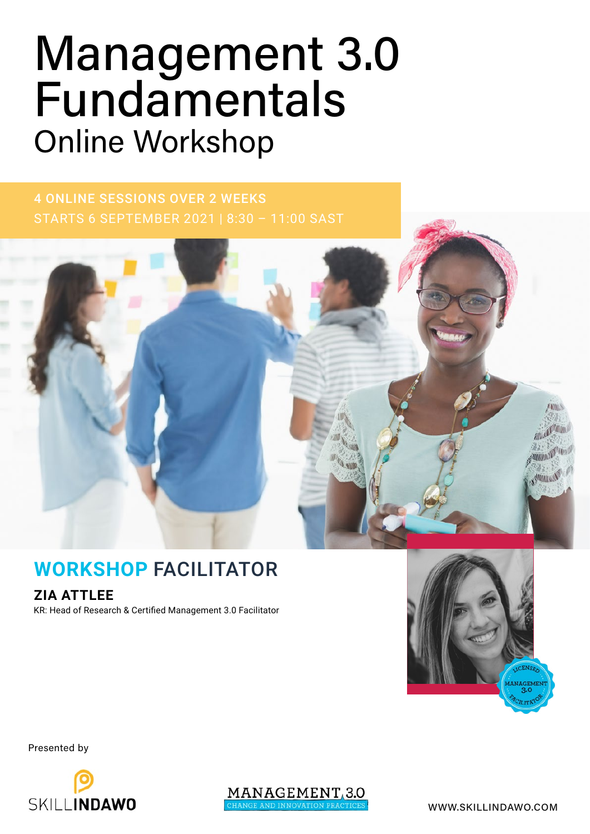# Online Workshop Management 3.0 Fundamentals

4 ONLINE SESSIONS OVER 2 WEEKS STARTS 6 SEPTEMBER 2021 | 8:30 – 11:00 SAST



## **WORKSHOP** FACILITATOR

**ZIA ATTLEE** 

KR: Head of Research & Certified Management 3.0 Facilitator



Presented by



MANAGEMENT.3.0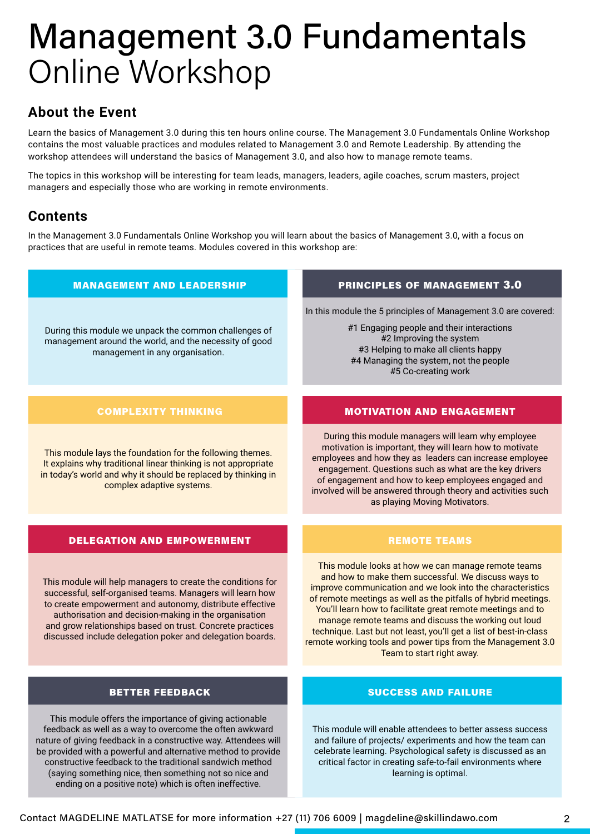#### **About the Event**

Learn the basics of Management 3.0 during this ten hours online course. The Management 3.0 Fundamentals Online Workshop contains the most valuable practices and modules related to Management 3.0 and Remote Leadership. By attending the workshop attendees will understand the basics of Management 3.0, and also how to manage remote teams.

The topics in this workshop will be interesting for team leads, managers, leaders, agile coaches, scrum masters, project managers and especially those who are working in remote environments.

#### **Contents**

In the Management 3.0 Fundamentals Online Workshop you will learn about the basics of Management 3.0, with a focus on practices that are useful in remote teams. Modules covered in this workshop are:

| <b>MANAGEMENT AND LEADERSHIP</b>                                                                                                                                                                                                                                                                                                                                            | PRINCIPLES OF MANAGEMENT 3.0                                                                                                                                                                                                                                                                                                                                                                                                                                                                                                       |  |  |  |
|-----------------------------------------------------------------------------------------------------------------------------------------------------------------------------------------------------------------------------------------------------------------------------------------------------------------------------------------------------------------------------|------------------------------------------------------------------------------------------------------------------------------------------------------------------------------------------------------------------------------------------------------------------------------------------------------------------------------------------------------------------------------------------------------------------------------------------------------------------------------------------------------------------------------------|--|--|--|
| During this module we unpack the common challenges of<br>management around the world, and the necessity of good<br>management in any organisation.                                                                                                                                                                                                                          | In this module the 5 principles of Management 3.0 are covered:<br>#1 Engaging people and their interactions<br>#2 Improving the system<br>#3 Helping to make all clients happy<br>#4 Managing the system, not the people<br>#5 Co-creating work                                                                                                                                                                                                                                                                                    |  |  |  |
|                                                                                                                                                                                                                                                                                                                                                                             |                                                                                                                                                                                                                                                                                                                                                                                                                                                                                                                                    |  |  |  |
| <b>COMPLEXITY THINKING</b>                                                                                                                                                                                                                                                                                                                                                  | <b>MOTIVATION AND ENGAGEMENT</b>                                                                                                                                                                                                                                                                                                                                                                                                                                                                                                   |  |  |  |
| This module lays the foundation for the following themes.<br>It explains why traditional linear thinking is not appropriate<br>in today's world and why it should be replaced by thinking in<br>complex adaptive systems.                                                                                                                                                   | During this module managers will learn why employee<br>motivation is important, they will learn how to motivate<br>employees and how they as leaders can increase employee<br>engagement. Questions such as what are the key drivers<br>of engagement and how to keep employees engaged and<br>involved will be answered through theory and activities such<br>as playing Moving Motivators.                                                                                                                                       |  |  |  |
|                                                                                                                                                                                                                                                                                                                                                                             |                                                                                                                                                                                                                                                                                                                                                                                                                                                                                                                                    |  |  |  |
| <b>DELEGATION AND EMPOWERMENT</b>                                                                                                                                                                                                                                                                                                                                           | <b>REMOTE TEAMS</b>                                                                                                                                                                                                                                                                                                                                                                                                                                                                                                                |  |  |  |
| This module will help managers to create the conditions for<br>successful, self-organised teams. Managers will learn how<br>to create empowerment and autonomy, distribute effective<br>authorisation and decision-making in the organisation<br>and grow relationships based on trust. Concrete practices<br>discussed include delegation poker and delegation boards.     | This module looks at how we can manage remote teams<br>and how to make them successful. We discuss ways to<br>improve communication and we look into the characteristics<br>of remote meetings as well as the pitfalls of hybrid meetings.<br>You'll learn how to facilitate great remote meetings and to<br>manage remote teams and discuss the working out loud<br>technique. Last but not least, you'll get a list of best-in-class<br>remote working tools and power tips from the Management 3.0<br>Team to start right away. |  |  |  |
|                                                                                                                                                                                                                                                                                                                                                                             |                                                                                                                                                                                                                                                                                                                                                                                                                                                                                                                                    |  |  |  |
| <b>BETTER FEEDBACK</b>                                                                                                                                                                                                                                                                                                                                                      | <b>SUCCESS AND FAILURE</b>                                                                                                                                                                                                                                                                                                                                                                                                                                                                                                         |  |  |  |
| This module offers the importance of giving actionable<br>feedback as well as a way to overcome the often awkward<br>nature of giving feedback in a constructive way. Attendees will<br>be provided with a powerful and alternative method to provide<br>constructive feedback to the traditional sandwich method<br>(saying something nice, then something not so nice and | This module will enable attendees to better assess success<br>and failure of projects/ experiments and how the team can<br>celebrate learning. Psychological safety is discussed as an<br>critical factor in creating safe-to-fail environments where<br>learning is optimal.                                                                                                                                                                                                                                                      |  |  |  |

ending on a positive note) which is often ineffective.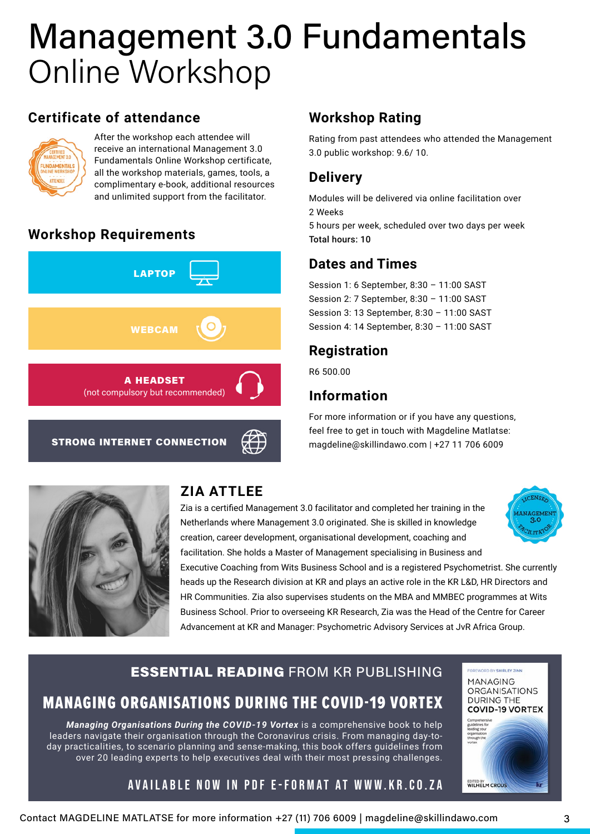### **Certificate of attendance**



After the workshop each attendee will receive an international Management 3.0 Fundamentals Online Workshop certificate, all the workshop materials, games, tools, a complimentary e-book, additional resources and unlimited support from the facilitator.

### **Workshop Requirements**



#### strong internet connection

## **Workshop Rating**

Rating from past attendees who attended the Management 3.0 public workshop: 9.6/ 10.

#### **Delivery**

Modules will be delivered via online facilitation over 2 Weeks 5 hours per week, scheduled over two days per week Total hours: 10

#### **Dates and Times**

Session 1: 6 September, 8:30 – 11:00 SAST Session 2: 7 September, 8:30 – 11:00 SAST Session 3: 13 September, 8:30 – 11:00 SAST Session 4: 14 September, 8:30 – 11:00 SAST

#### **Registration**

R6 500.00

#### **Information**

For more information or if you have any questions, feel free to get in touch with Magdeline Matlatse: magdeline@skillindawo.com | +27 11 706 6009



### **ZIA ATTLEE**

Zia is a certified Management 3.0 facilitator and completed her training in the Netherlands where Management 3.0 originated. She is skilled in knowledge creation, career development, organisational development, coaching and facilitation. She holds a Master of Management specialising in Business and



Executive Coaching from Wits Business School and is a registered Psychometrist. She currently heads up the Research division at KR and plays an active role in the KR L&D, HR Directors and HR Communities. Zia also supervises students on the MBA and MMBEC programmes at Wits Business School. Prior to overseeing KR Research, Zia was the Head of the Centre for Career Advancement at KR and Manager: Psychometric Advisory Services at JvR Africa Group.

### ESSENTIAL READING FROM KR PUBLISHING

## [MANAGING ORGANISATIONS DURING THE COVID-19 VORTEX](https://kr.co.za/product/managing-organisations-during-the-covid-19-vortex-ebook/)

*Managing Organisations During the COVID-19 Vortex* is a comprehensive book to help leaders navigate their organisation through the Coronavirus crisis. From managing day-today practicalities, to scenario planning and sense-making, this book offers guidelines from over 20 leading experts to help executives deal with their most pressing challenges.





[AVAILABLE NOW IN PDF E-FORMAT AT WWW.KR.CO.ZA](https://kr.co.za/product/managing-organisations-during-the-covid-19-vortex-ebook/)

#### Contact MAGDELINE MATLATSE for more information +27 (11) 706 6009 | magdeline@skillindawo.com 3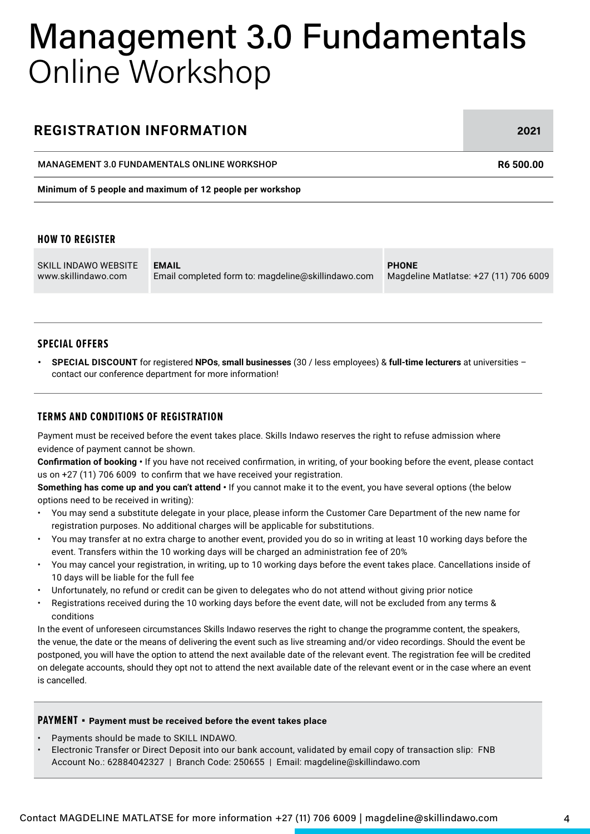#### **REGISTRATION INFORMATION**

**2021**

MANAGEMENT 3.0 FUNDAMENTALS ONLINE WORKSHOP **R6 500.00** 

**Minimum of 5 people and maximum of 12 people per workshop**

#### **HOW TO REGISTER**

SKILL INDAWO WEBSITE www.skillindawo.com

**EMAIL** Email completed form to: magdeline@skillindawo.com **PHONE** Magdeline Matlatse: +27 (11) 706 6009

#### **SPECIAL OFFERS**

**• SPECIAL DISCOUNT** for registered **NPOs**, **small businesses** (30 / less employees) & **full-time lecturers** at universities – contact our conference department for more information!

#### **TERMS AND CONDITIONS OF REGISTRATION**

Payment must be received before the event takes place. Skills Indawo reserves the right to refuse admission where evidence of payment cannot be shown.

**Confirmation of booking •** If you have not received confirmation, in writing, of your booking before the event, please contact us on +27 (11) 706 6009 to confirm that we have received your registration.

**Something has come up and you can't attend •** If you cannot make it to the event, you have several options (the below options need to be received in writing):

- You may send a substitute delegate in your place, please inform the Customer Care Department of the new name for registration purposes. No additional charges will be applicable for substitutions.
- You may transfer at no extra charge to another event, provided you do so in writing at least 10 working days before the event. Transfers within the 10 working days will be charged an administration fee of 20%
- You may cancel your registration, in writing, up to 10 working days before the event takes place. Cancellations inside of 10 days will be liable for the full fee
- Unfortunately, no refund or credit can be given to delegates who do not attend without giving prior notice
- Registrations received during the 10 working days before the event date, will not be excluded from any terms & conditions

In the event of unforeseen circumstances Skills Indawo reserves the right to change the programme content, the speakers, the venue, the date or the means of delivering the event such as live streaming and/or video recordings. Should the event be postponed, you will have the option to attend the next available date of the relevant event. The registration fee will be credited on delegate accounts, should they opt not to attend the next available date of the relevant event or in the case where an event is cancelled.

#### **PAYMENT • Payment must be received before the event takes place**

- Payments should be made to SKILL INDAWO.
- Electronic Transfer or Direct Deposit into our bank account, validated by email copy of transaction slip: FNB Account No.: 62884042327 | Branch Code: 250655 | Email: magdeline@skillindawo.com